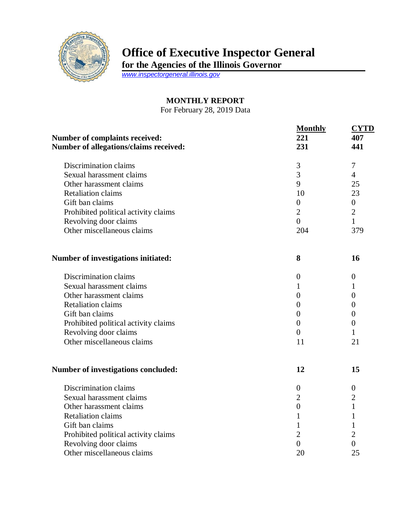

## **Office of Executive Inspector General**

**for the Agencies of the Illinois Governor**

*[www.inspectorgeneral.illinois.gov](http://www.inspectorgeneral.illinois.gov/)*

## **MONTHLY REPORT**

For February 28, 2019 Data

| <b>Number of complaints received:</b><br>Number of allegations/claims received: | <b>Monthly</b><br>221<br>231 | <b>CYTD</b><br>407<br>441 |
|---------------------------------------------------------------------------------|------------------------------|---------------------------|
| Discrimination claims                                                           | 3                            | $\overline{7}$            |
| Sexual harassment claims                                                        | 3                            | $\overline{4}$            |
| Other harassment claims                                                         | 9                            | 25                        |
| <b>Retaliation claims</b>                                                       | 10                           | 23                        |
| Gift ban claims                                                                 | $\overline{0}$               | $\overline{0}$            |
| Prohibited political activity claims                                            | $\overline{2}$               | $\overline{2}$            |
| Revolving door claims                                                           | $\theta$                     | $\mathbf{1}$              |
| Other miscellaneous claims                                                      | 204                          | 379                       |
| Number of investigations initiated:                                             | 8                            | 16                        |
| Discrimination claims                                                           | $\boldsymbol{0}$             | $\boldsymbol{0}$          |
| Sexual harassment claims                                                        | 1                            | 1                         |
| Other harassment claims                                                         | $\overline{0}$               | $\boldsymbol{0}$          |
| <b>Retaliation claims</b>                                                       | $\overline{0}$               | $\overline{0}$            |
| Gift ban claims                                                                 | $\theta$                     | $\overline{0}$            |
| Prohibited political activity claims                                            | $\boldsymbol{0}$             | $\overline{0}$            |
| Revolving door claims                                                           | $\overline{0}$               | 1                         |
| Other miscellaneous claims                                                      | 11                           | 21                        |
| <b>Number of investigations concluded:</b>                                      | 12                           | 15                        |
| Discrimination claims                                                           | $\overline{0}$               | $\boldsymbol{0}$          |
| Sexual harassment claims                                                        | $\overline{2}$               | $\overline{2}$            |
| Other harassment claims                                                         | $\boldsymbol{0}$             | $\mathbf{1}$              |
| <b>Retaliation claims</b>                                                       | $\mathbf{1}$                 | 1                         |
| Gift ban claims                                                                 | $\mathbf{1}$                 | 1                         |
| Prohibited political activity claims                                            | $\overline{2}$               | $\overline{2}$            |
| Revolving door claims                                                           | $\overline{0}$               | $\overline{0}$            |
| Other miscellaneous claims                                                      | 20                           | 25                        |